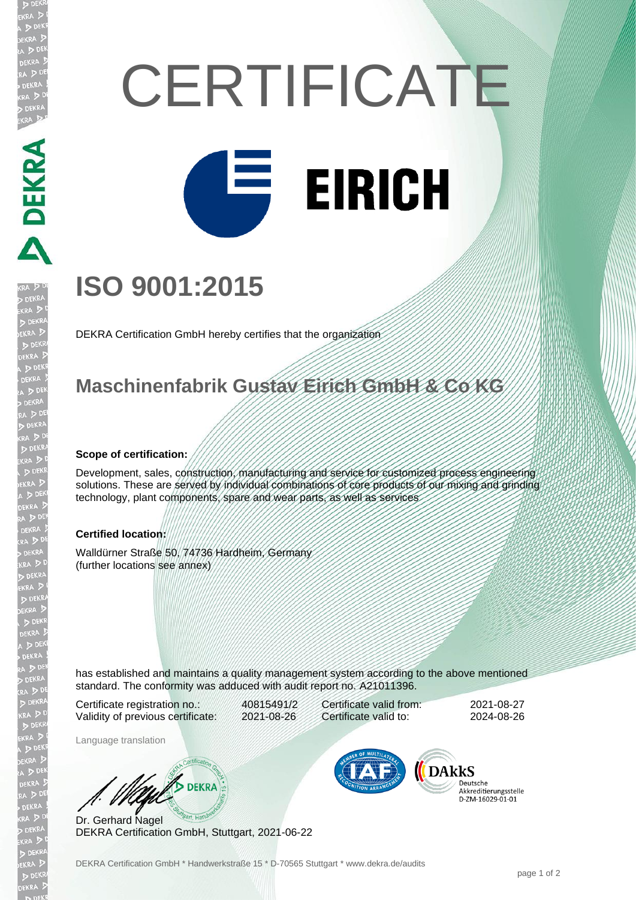# **CERTIFICATE EIRICH**

## **ISO 9001:2015**

DEKRA Certification GmbH hereby certifies that the organization

### **Maschinenfabrik Gustav Eirich GmbH & Co KG**

#### **Scope of certification:**

**EKRA DEKRA** 

EKR

Development, sales, construction, manufacturing and service for customized process engineering solutions. These are served by individual combinations of core products of our mixing and grinding technology, plant components, spare and wear parts, as well as services

#### **Certified location:**

Walldürner Straße 50, 74736 Hardheim, Germany (further locations see annex)

has established and maintains a quality management system according to the above mentioned standard. The conformity was adduced with audit report no. A21011396.

Certificate registration no.: 40815491/2 Validity of previous certificate: 2021-08-26

Language translation

Certificate valid from: 2021-08-27 Certificate valid to: 2024-08-26

**DARKS** 

Deutsche Akkreditierungsstelle 

Dr. Gerhard Nagel DEKRA Certification GmbH, Stuttgart, 2021-06-22

W/ DEKRA